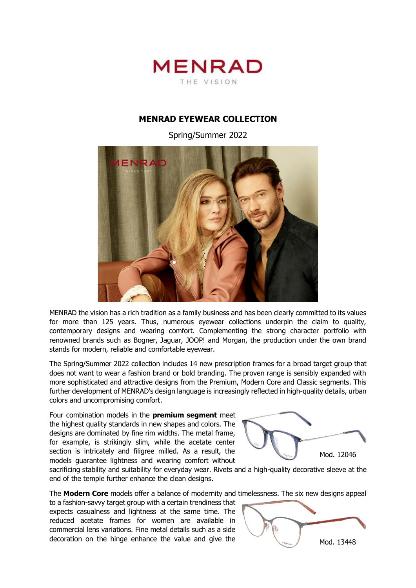

## **MENRAD EYEWEAR COLLECTION**

Spring/Summer 2022



MENRAD the vision has a rich tradition as a family business and has been clearly committed to its values for more than 125 years. Thus, numerous eyewear collections underpin the claim to quality, contemporary designs and wearing comfort. Complementing the strong character portfolio with renowned brands such as Bogner, Jaguar, JOOP! and Morgan, the production under the own brand stands for modern, reliable and comfortable eyewear.

The Spring/Summer 2022 collection includes 14 new prescription frames for a broad target group that does not want to wear a fashion brand or bold branding. The proven range is sensibly expanded with more sophisticated and attractive designs from the Premium, Modern Core and Classic segments. This further development of MENRAD's design language is increasingly reflected in high-quality details, urban colors and uncompromising comfort.

Four combination models in the **premium segment** meet the highest quality standards in new shapes and colors. The designs are dominated by fine rim widths. The metal frame, for example, is strikingly slim, while the acetate center section is intricately and filigree milled. As a result, the models guarantee lightness and wearing comfort without



sacrificing stability and suitability for everyday wear. Rivets and a high-quality decorative sleeve at the end of the temple further enhance the clean designs.

The **Modern Core** models offer a balance of modernity and timelessness. The six new designs appeal

to a fashion-savvy target group with a certain trendiness that expects casualness and lightness at the same time. The reduced acetate frames for women are available in commercial lens variations. Fine metal details such as a side decoration on the hinge enhance the value and give the